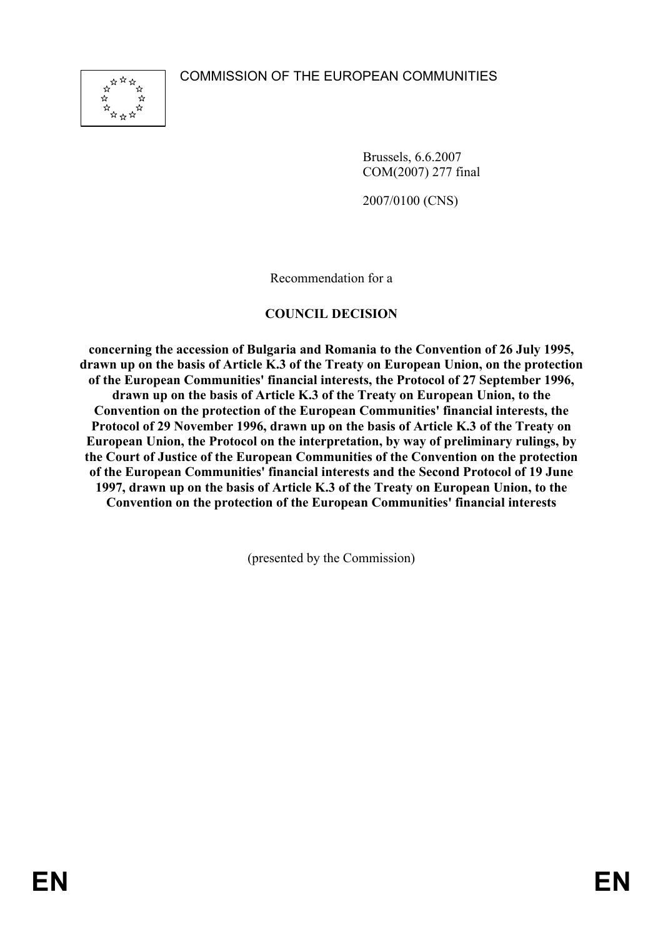COMMISSION OF THE EUROPEAN COMMUNITIES



Brussels, 6.6.2007 COM(2007) 277 final

2007/0100 (CNS)

Recommendation for a

### **COUNCIL DECISION**

**concerning the accession of Bulgaria and Romania to the Convention of 26 July 1995, drawn up on the basis of Article K.3 of the Treaty on European Union, on the protection of the European Communities' financial interests, the Protocol of 27 September 1996, drawn up on the basis of Article K.3 of the Treaty on European Union, to the Convention on the protection of the European Communities' financial interests, the Protocol of 29 November 1996, drawn up on the basis of Article K.3 of the Treaty on European Union, the Protocol on the interpretation, by way of preliminary rulings, by the Court of Justice of the European Communities of the Convention on the protection of the European Communities' financial interests and the Second Protocol of 19 June 1997, drawn up on the basis of Article K.3 of the Treaty on European Union, to the Convention on the protection of the European Communities' financial interests** 

(presented by the Commission)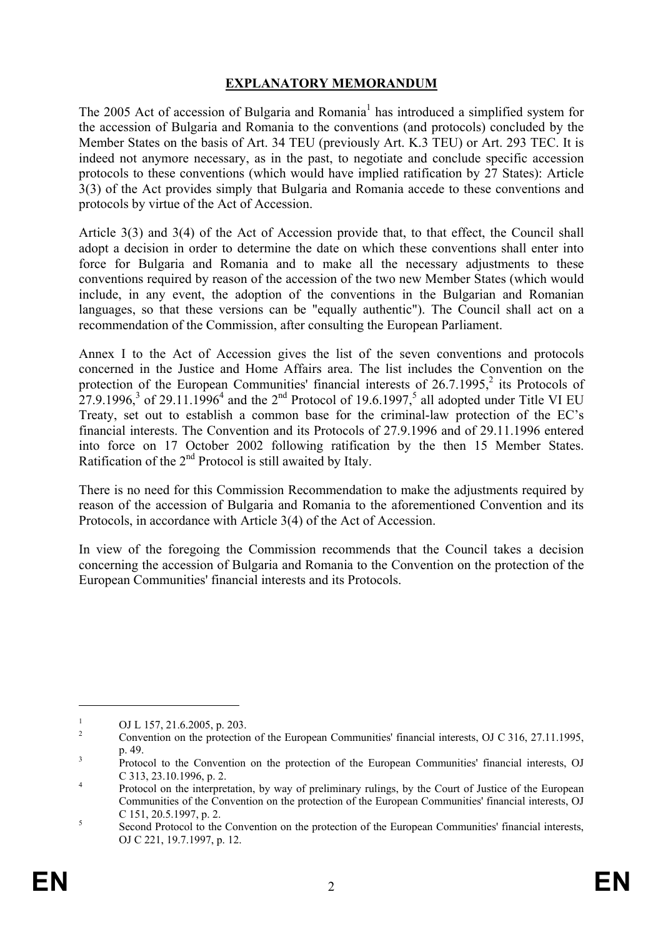## **EXPLANATORY MEMORANDUM**

The 2005 Act of accession of Bulgaria and Romania<sup>1</sup> has introduced a simplified system for the accession of Bulgaria and Romania to the conventions (and protocols) concluded by the Member States on the basis of Art. 34 TEU (previously Art. K.3 TEU) or Art. 293 TEC. It is indeed not anymore necessary, as in the past, to negotiate and conclude specific accession protocols to these conventions (which would have implied ratification by 27 States): Article 3(3) of the Act provides simply that Bulgaria and Romania accede to these conventions and protocols by virtue of the Act of Accession.

Article 3(3) and 3(4) of the Act of Accession provide that, to that effect, the Council shall adopt a decision in order to determine the date on which these conventions shall enter into force for Bulgaria and Romania and to make all the necessary adjustments to these conventions required by reason of the accession of the two new Member States (which would include, in any event, the adoption of the conventions in the Bulgarian and Romanian languages, so that these versions can be "equally authentic"). The Council shall act on a recommendation of the Commission, after consulting the European Parliament.

Annex I to the Act of Accession gives the list of the seven conventions and protocols concerned in the Justice and Home Affairs area. The list includes the Convention on the protection of the European Communities' financial interests of  $26.7.1995$ ,<sup>2</sup> its Protocols of 27.9.1996,<sup>3</sup> of 29.11.1996<sup>4</sup> and the 2<sup>nd</sup> Protocol of 19.6.1997,<sup>5</sup> all adopted under Title VI EU Treaty, set out to establish a common base for the criminal-law protection of the EC's financial interests. The Convention and its Protocols of 27.9.1996 and of 29.11.1996 entered into force on 17 October 2002 following ratification by the then 15 Member States. Ratification of the 2<sup>nd</sup> Protocol is still awaited by Italy.

There is no need for this Commission Recommendation to make the adjustments required by reason of the accession of Bulgaria and Romania to the aforementioned Convention and its Protocols, in accordance with Article 3(4) of the Act of Accession.

In view of the foregoing the Commission recommends that the Council takes a decision concerning the accession of Bulgaria and Romania to the Convention on the protection of the European Communities' financial interests and its Protocols.

1

<sup>1</sup> OJ L 157, 21.6.2005, p. 203.

 $\overline{2}$  Convention on the protection of the European Communities' financial interests, OJ C 316, 27.11.1995,  $\frac{p. 49}{p}$ 

Protocol to the Convention on the protection of the European Communities' financial interests, OJ  $C$  313, 23.10.1996, p. 2.

Protocol on the interpretation, by way of preliminary rulings, by the Court of Justice of the European Communities of the Convention on the protection of the European Communities' financial interests, OJ  $C 151, 20.5.1997, p. 2.$ 

Second Protocol to the Convention on the protection of the European Communities' financial interests, OJ C 221, 19.7.1997, p. 12.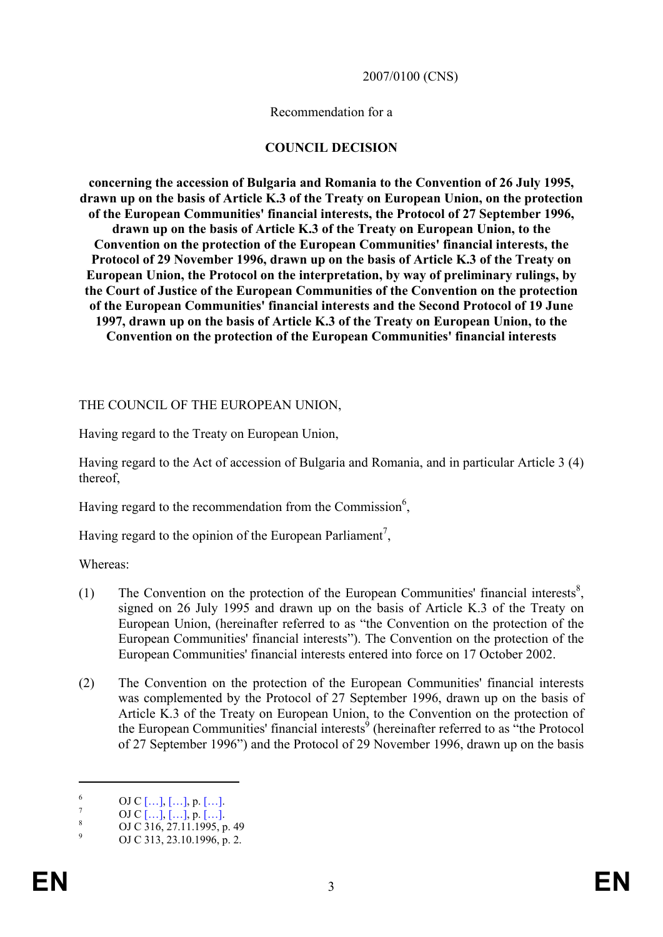#### 2007/0100 (CNS)

#### Recommendation for a

#### **COUNCIL DECISION**

**concerning the accession of Bulgaria and Romania to the Convention of 26 July 1995, drawn up on the basis of Article K.3 of the Treaty on European Union, on the protection of the European Communities' financial interests, the Protocol of 27 September 1996, drawn up on the basis of Article K.3 of the Treaty on European Union, to the Convention on the protection of the European Communities' financial interests, the Protocol of 29 November 1996, drawn up on the basis of Article K.3 of the Treaty on European Union, the Protocol on the interpretation, by way of preliminary rulings, by the Court of Justice of the European Communities of the Convention on the protection of the European Communities' financial interests and the Second Protocol of 19 June 1997, drawn up on the basis of Article K.3 of the Treaty on European Union, to the Convention on the protection of the European Communities' financial interests** 

#### THE COUNCIL OF THE EUROPEAN UNION,

Having regard to the Treaty on European Union,

Having regard to the Act of accession of Bulgaria and Romania, and in particular Article 3 (4) thereof,

Having regard to the recommendation from the Commission $6$ ,

Having regard to the opinion of the European Parliament<sup>7</sup>,

Whereas:

- (1) The Convention on the protection of the European Communities' financial interests<sup>8</sup>, signed on 26 July 1995 and drawn up on the basis of Article K.3 of the Treaty on European Union, (hereinafter referred to as "the Convention on the protection of the European Communities' financial interests"). The Convention on the protection of the European Communities' financial interests entered into force on 17 October 2002.
- (2) The Convention on the protection of the European Communities' financial interests was complemented by the Protocol of 27 September 1996, drawn up on the basis of Article K.3 of the Treaty on European Union, to the Convention on the protection of the European Communities' financial interests<sup>9</sup> (hereinafter referred to as "the Protocol of 27 September 1996") and the Protocol of 29 November 1996, drawn up on the basis

1

<sup>6</sup>  $\frac{6}{7}$  OJ C [...], [...], p. [...].

 $\frac{7}{8}$  OJ C […], […], p. […].

OJ C 316, 27.11.1995, p. 49 9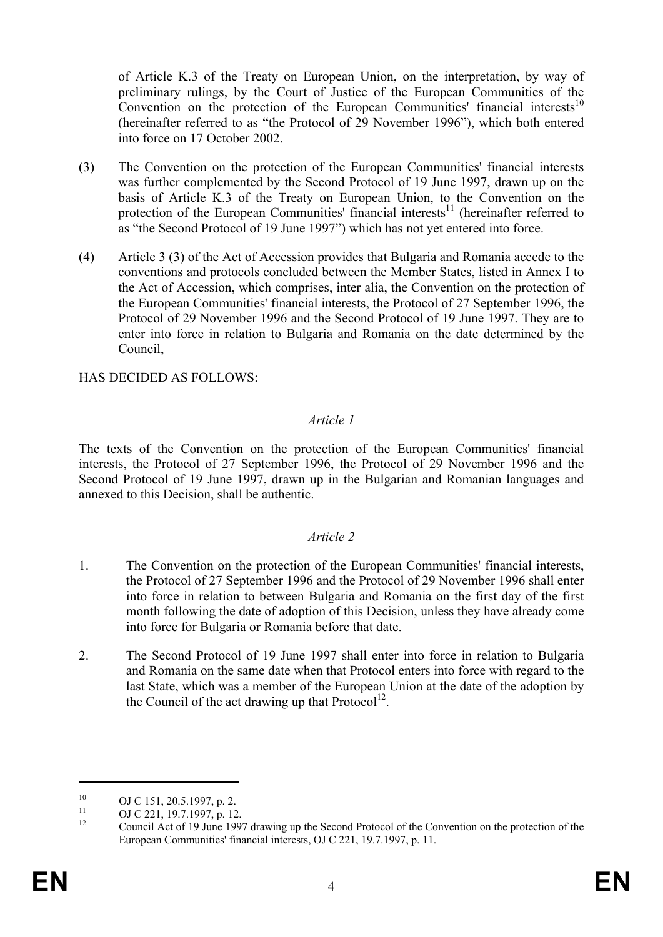of Article K.3 of the Treaty on European Union, on the interpretation, by way of preliminary rulings, by the Court of Justice of the European Communities of the Convention on the protection of the European Communities' financial interests<sup>10</sup> (hereinafter referred to as "the Protocol of 29 November 1996"), which both entered into force on 17 October 2002.

- (3) The Convention on the protection of the European Communities' financial interests was further complemented by the Second Protocol of 19 June 1997, drawn up on the basis of Article K.3 of the Treaty on European Union, to the Convention on the protection of the European Communities' financial interests $11$  (hereinafter referred to as "the Second Protocol of 19 June 1997") which has not yet entered into force.
- (4) Article 3 (3) of the Act of Accession provides that Bulgaria and Romania accede to the conventions and protocols concluded between the Member States, listed in Annex I to the Act of Accession, which comprises, inter alia, the Convention on the protection of the European Communities' financial interests, the Protocol of 27 September 1996, the Protocol of 29 November 1996 and the Second Protocol of 19 June 1997. They are to enter into force in relation to Bulgaria and Romania on the date determined by the Council,

HAS DECIDED AS FOLLOWS:

### *Article 1*

The texts of the Convention on the protection of the European Communities' financial interests, the Protocol of 27 September 1996, the Protocol of 29 November 1996 and the Second Protocol of 19 June 1997, drawn up in the Bulgarian and Romanian languages and annexed to this Decision, shall be authentic.

### *Article 2*

- 1. The Convention on the protection of the European Communities' financial interests, the Protocol of 27 September 1996 and the Protocol of 29 November 1996 shall enter into force in relation to between Bulgaria and Romania on the first day of the first month following the date of adoption of this Decision, unless they have already come into force for Bulgaria or Romania before that date.
- 2. The Second Protocol of 19 June 1997 shall enter into force in relation to Bulgaria and Romania on the same date when that Protocol enters into force with regard to the last State, which was a member of the European Union at the date of the adoption by the Council of the act drawing up that  $Protocol^{12}$ .

1

<sup>&</sup>lt;sup>10</sup> OJ C 151, 20.5.1997, p. 2.

<sup>&</sup>lt;sup>11</sup> OJ C 221, 19.7.1997, p. 12.

<sup>12</sup> Council Act of 19 June 1997 drawing up the Second Protocol of the Convention on the protection of the European Communities' financial interests, OJ C 221, 19.7.1997, p. 11.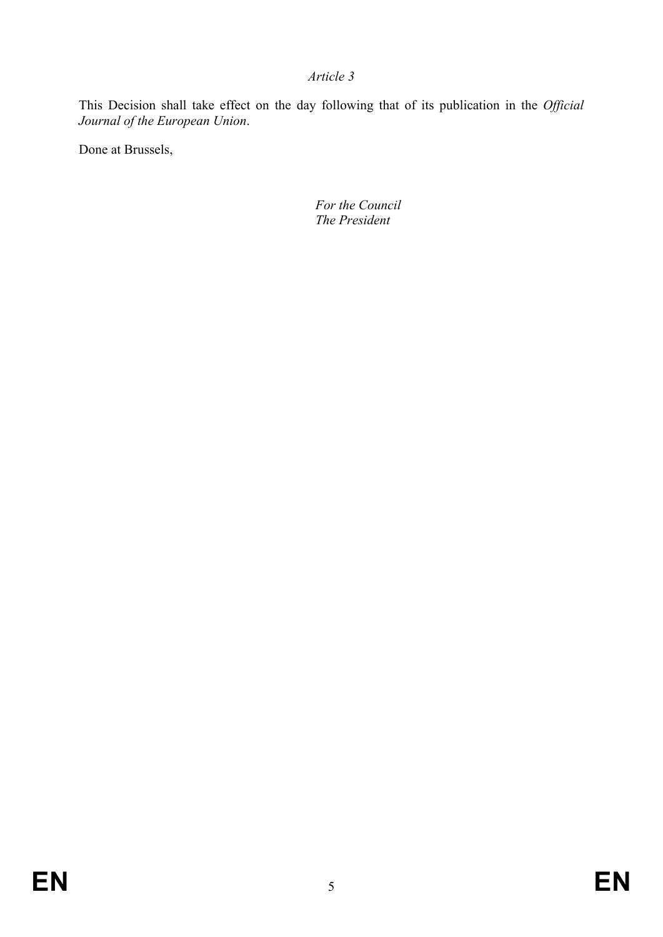### *Article 3*

This Decision shall take effect on the day following that of its publication in the *Official Journal of the European Union*.

Done at Brussels,

 *For the Council The President*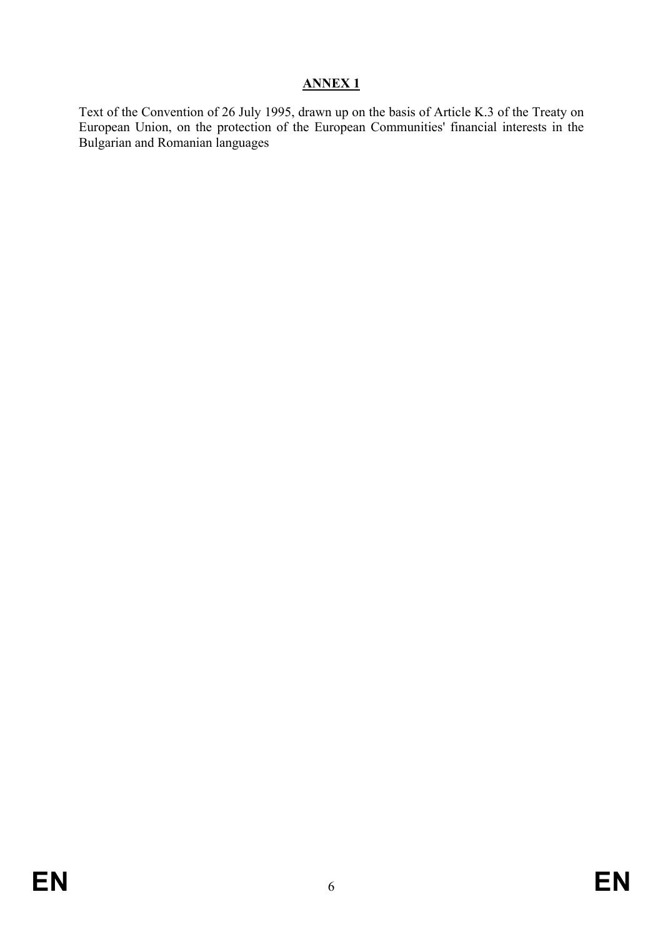Text of the Convention of 26 July 1995, drawn up on the basis of Article K.3 of the Treaty on European Union, on the protection of the European Communities' financial interests in the Bulgarian and Romanian languages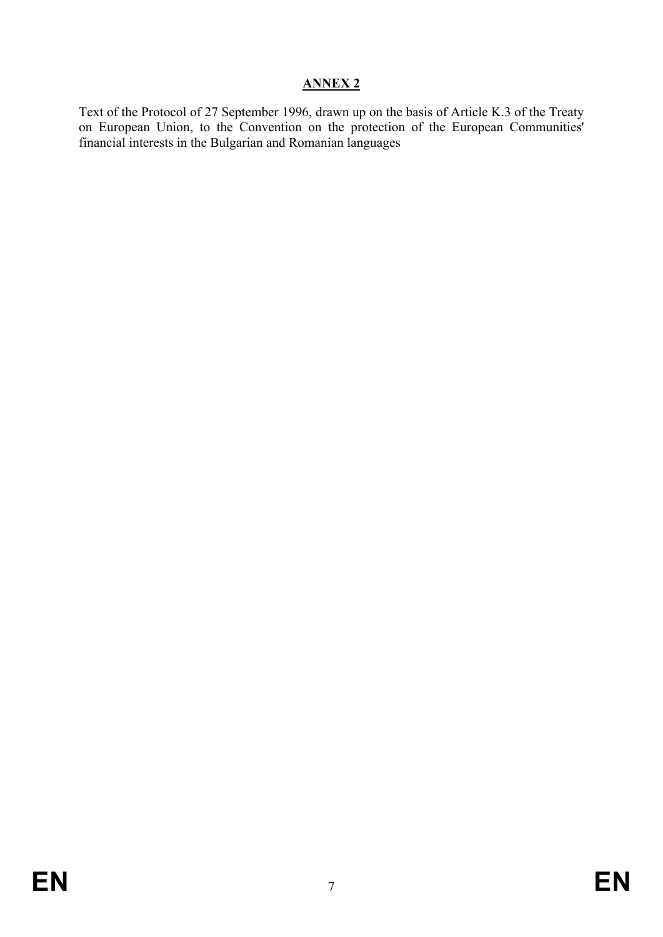Text of the Protocol of 27 September 1996, drawn up on the basis of Article K.3 of the Treaty on European Union, to the Convention on the protection of the European Communities' financial interests in the Bulgarian and Romanian languages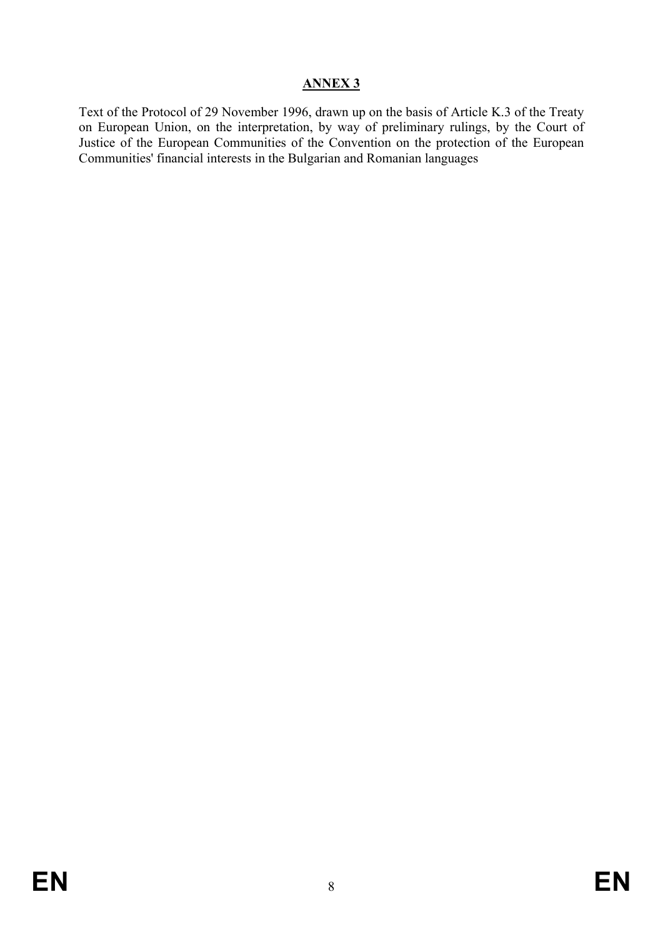Text of the Protocol of 29 November 1996, drawn up on the basis of Article K.3 of the Treaty on European Union, on the interpretation, by way of preliminary rulings, by the Court of Justice of the European Communities of the Convention on the protection of the European Communities' financial interests in the Bulgarian and Romanian languages